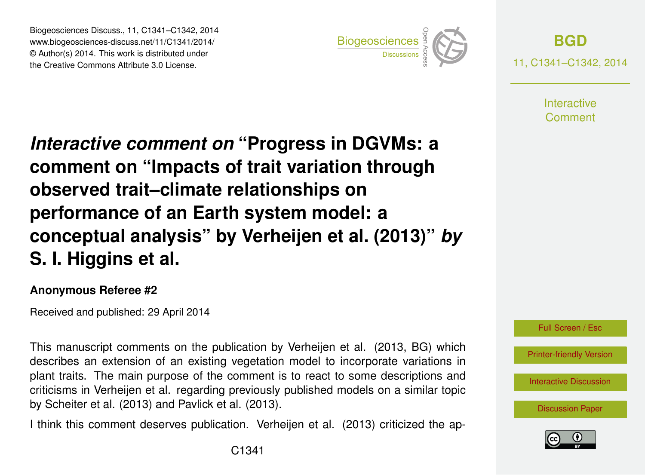Biogeosciences Discuss., 11, C1341–C1342, 2014 www.biogeosciences-discuss.net/11/C1341/2014/ © Author(s) 2014. This work is distributed under Biogeosciences Discuss., 11, C1341–C1342, 2014<br>www.biogeosciences-discuss.net/11/C1341/2014/<br>© Author(s) 2014. This work is distributed under<br>the Creative Commons Attribute 3.0 License.



**[BGD](http://www.biogeosciences-discuss.net)** 11, C1341–C1342, 2014

> **Interactive** Comment

*Interactive comment on* **"Progress in DGVMs: a comment on "Impacts of trait variation through observed trait–climate relationships on performance of an Earth system model: a conceptual analysis" by Verheijen et al. (2013)"** *by* **S. I. Higgins et al.**

## **Anonymous Referee #2**

Received and published: 29 April 2014

This manuscript comments on the publication by Verheijen et al. (2013, BG) which describes an extension of an existing vegetation model to incorporate variations in plant traits. The main purpose of the comment is to react to some descriptions and criticisms in Verheijen et al. regarding previously published models on a similar topic by Scheiter et al. (2013) and Pavlick et al. (2013).

I think this comment deserves publication. Verheijen et al. (2013) criticized the ap-



[Printer-friendly Version](http://www.biogeosciences-discuss.net/11/C1341/2014/bgd-11-C1341-2014-print.pdf)

[Interactive Discussion](http://www.biogeosciences-discuss.net/11/4483/2014/bgd-11-4483-2014-discussion.html)

[Discussion Paper](http://www.biogeosciences-discuss.net/11/4483/2014/bgd-11-4483-2014.pdf)